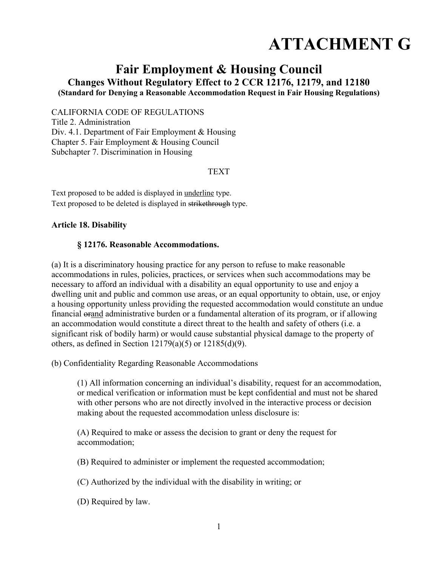# **ATTACHMENT G**

## **Fair Employment & Housing Council Changes Without Regulatory Effect to 2 CCR 12176, 12179, and 12180 (Standard for Denying a Reasonable Accommodation Request in Fair Housing Regulations)**

CALIFORNIA CODE OF REGULATIONS

Title 2. Administration Div. 4.1. Department of Fair Employment & Housing Chapter 5. Fair Employment & Housing Council Subchapter 7. Discrimination in Housing

#### TEXT

Text proposed to be added is displayed in underline type. Text proposed to be deleted is displayed in strikethrough type.

#### **Article 18. Disability**

#### **§ 12176. Reasonable Accommodations.**

(a) It is a discriminatory housing practice for any person to refuse to make reasonable accommodations in rules, policies, practices, or services when such accommodations may be necessary to afford an individual with a disability an equal opportunity to use and enjoy a dwelling unit and public and common use areas, or an equal opportunity to obtain, use, or enjoy a housing opportunity unless providing the requested accommodation would constitute an undue financial orand administrative burden or a fundamental alteration of its program, or if allowing an accommodation would constitute a direct threat to the health and safety of others (i.e. a significant risk of bodily harm) or would cause substantial physical damage to the property of others, as defined in Section  $12179(a)(5)$  or  $12185(d)(9)$ .

(b) Confidentiality Regarding Reasonable Accommodations

(1) All information concerning an individual's disability, request for an accommodation, or medical verification or information must be kept confidential and must not be shared with other persons who are not directly involved in the interactive process or decision making about the requested accommodation unless disclosure is:

(A) Required to make or assess the decision to grant or deny the request for accommodation;

(B) Required to administer or implement the requested accommodation;

(C) Authorized by the individual with the disability in writing; or

(D) Required by law.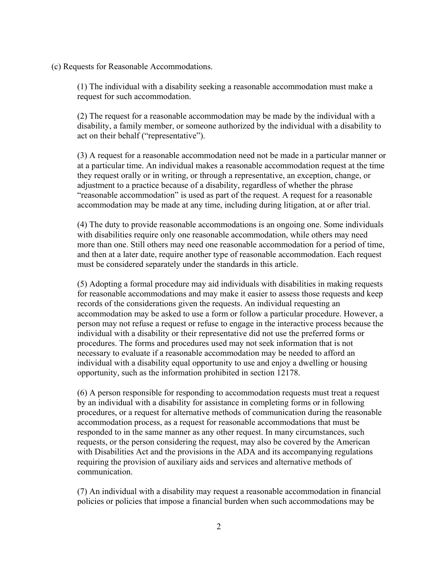(c) Requests for Reasonable Accommodations.

(1) The individual with a disability seeking a reasonable accommodation must make a request for such accommodation.

(2) The request for a reasonable accommodation may be made by the individual with a disability, a family member, or someone authorized by the individual with a disability to act on their behalf ("representative").

(3) A request for a reasonable accommodation need not be made in a particular manner or at a particular time. An individual makes a reasonable accommodation request at the time they request orally or in writing, or through a representative, an exception, change, or adjustment to a practice because of a disability, regardless of whether the phrase "reasonable accommodation" is used as part of the request. A request for a reasonable accommodation may be made at any time, including during litigation, at or after trial.

(4) The duty to provide reasonable accommodations is an ongoing one. Some individuals with disabilities require only one reasonable accommodation, while others may need more than one. Still others may need one reasonable accommodation for a period of time, and then at a later date, require another type of reasonable accommodation. Each request must be considered separately under the standards in this article.

(5) Adopting a formal procedure may aid individuals with disabilities in making requests for reasonable accommodations and may make it easier to assess those requests and keep records of the considerations given the requests. An individual requesting an accommodation may be asked to use a form or follow a particular procedure. However, a person may not refuse a request or refuse to engage in the interactive process because the individual with a disability or their representative did not use the preferred forms or procedures. The forms and procedures used may not seek information that is not necessary to evaluate if a reasonable accommodation may be needed to afford an individual with a disability equal opportunity to use and enjoy a dwelling or housing opportunity, such as the information prohibited in section 12178.

(6) A person responsible for responding to accommodation requests must treat a request by an individual with a disability for assistance in completing forms or in following procedures, or a request for alternative methods of communication during the reasonable accommodation process, as a request for reasonable accommodations that must be responded to in the same manner as any other request. In many circumstances, such requests, or the person considering the request, may also be covered by the American with Disabilities Act and the provisions in the ADA and its accompanying regulations requiring the provision of auxiliary aids and services and alternative methods of communication.

(7) An individual with a disability may request a reasonable accommodation in financial policies or policies that impose a financial burden when such accommodations may be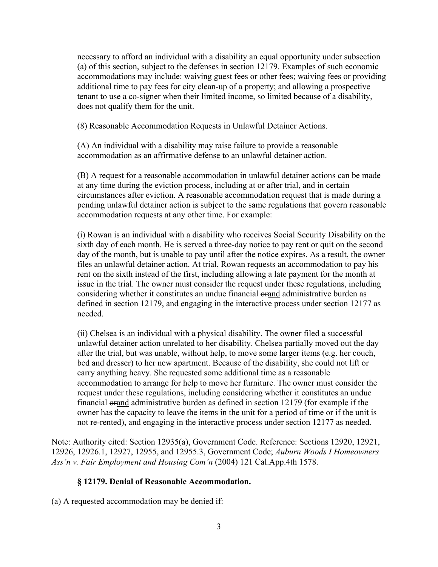necessary to afford an individual with a disability an equal opportunity under subsection (a) of this section, subject to the defenses in section 12179. Examples of such economic accommodations may include: waiving guest fees or other fees; waiving fees or providing additional time to pay fees for city clean-up of a property; and allowing a prospective tenant to use a co-signer when their limited income, so limited because of a disability, does not qualify them for the unit.

(8) Reasonable Accommodation Requests in Unlawful Detainer Actions.

(A) An individual with a disability may raise failure to provide a reasonable accommodation as an affirmative defense to an unlawful detainer action.

(B) A request for a reasonable accommodation in unlawful detainer actions can be made at any time during the eviction process, including at or after trial, and in certain circumstances after eviction. A reasonable accommodation request that is made during a pending unlawful detainer action is subject to the same regulations that govern reasonable accommodation requests at any other time. For example:

(i) Rowan is an individual with a disability who receives Social Security Disability on the sixth day of each month. He is served a three-day notice to pay rent or quit on the second day of the month, but is unable to pay until after the notice expires. As a result, the owner files an unlawful detainer action. At trial, Rowan requests an accommodation to pay his rent on the sixth instead of the first, including allowing a late payment for the month at issue in the trial. The owner must consider the request under these regulations, including considering whether it constitutes an undue financial orand administrative burden as defined in section 12179, and engaging in the interactive process under section 12177 as needed.

(ii) Chelsea is an individual with a physical disability. The owner filed a successful unlawful detainer action unrelated to her disability. Chelsea partially moved out the day after the trial, but was unable, without help, to move some larger items (e.g. her couch, bed and dresser) to her new apartment. Because of the disability, she could not lift or carry anything heavy. She requested some additional time as a reasonable accommodation to arrange for help to move her furniture. The owner must consider the request under these regulations, including considering whether it constitutes an undue financial orand administrative burden as defined in section 12179 (for example if the owner has the capacity to leave the items in the unit for a period of time or if the unit is not re-rented), and engaging in the interactive process under section 12177 as needed.

Note: Authority cited: Section 12935(a), Government Code. Reference: Sections 12920, 12921, 12926, 12926.1, 12927, 12955, and 12955.3, Government Code; *Auburn Woods I Homeowners Ass'n v. Fair Employment and Housing Com'n* (2004) 121 Cal.App.4th 1578.

#### **§ 12179. Denial of Reasonable Accommodation.**

(a) A requested accommodation may be denied if: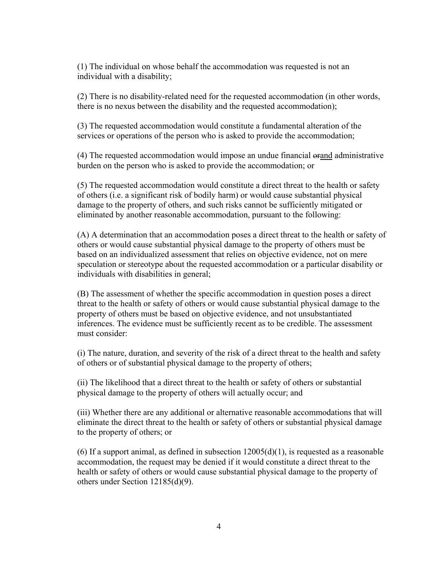(1) The individual on whose behalf the accommodation was requested is not an individual with a disability;

(2) There is no disability-related need for the requested accommodation (in other words, there is no nexus between the disability and the requested accommodation);

(3) The requested accommodation would constitute a fundamental alteration of the services or operations of the person who is asked to provide the accommodation;

(4) The requested accommodation would impose an undue financial orand administrative burden on the person who is asked to provide the accommodation; or

(5) The requested accommodation would constitute a direct threat to the health or safety of others (i.e. a significant risk of bodily harm) or would cause substantial physical damage to the property of others, and such risks cannot be sufficiently mitigated or eliminated by another reasonable accommodation, pursuant to the following:

(A) A determination that an accommodation poses a direct threat to the health or safety of others or would cause substantial physical damage to the property of others must be based on an individualized assessment that relies on objective evidence, not on mere speculation or stereotype about the requested accommodation or a particular disability or individuals with disabilities in general;

(B) The assessment of whether the specific accommodation in question poses a direct threat to the health or safety of others or would cause substantial physical damage to the property of others must be based on objective evidence, and not unsubstantiated inferences. The evidence must be sufficiently recent as to be credible. The assessment must consider:

(i) The nature, duration, and severity of the risk of a direct threat to the health and safety of others or of substantial physical damage to the property of others;

(ii) The likelihood that a direct threat to the health or safety of others or substantial physical damage to the property of others will actually occur; and

(iii) Whether there are any additional or alternative reasonable accommodations that will eliminate the direct threat to the health or safety of others or substantial physical damage to the property of others; or

(6) If a support animal, as defined in subsection  $12005(d)(1)$ , is requested as a reasonable accommodation, the request may be denied if it would constitute a direct threat to the health or safety of others or would cause substantial physical damage to the property of others under Section 12185(d)(9).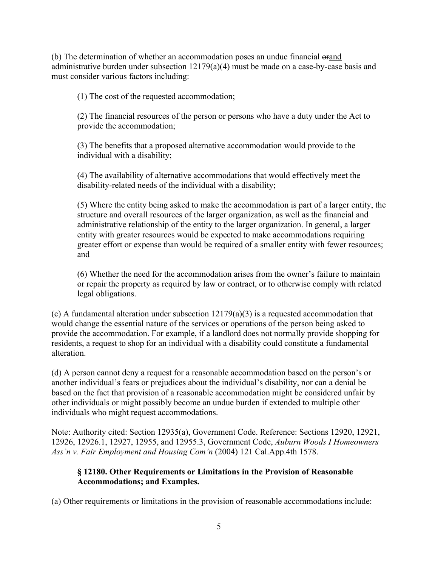(b) The determination of whether an accommodation poses an undue financial orand administrative burden under subsection 12179(a)(4) must be made on a case-by-case basis and must consider various factors including:

(1) The cost of the requested accommodation;

(2) The financial resources of the person or persons who have a duty under the Act to provide the accommodation;

(3) The benefits that a proposed alternative accommodation would provide to the individual with a disability;

(4) The availability of alternative accommodations that would effectively meet the disability-related needs of the individual with a disability;

(5) Where the entity being asked to make the accommodation is part of a larger entity, the structure and overall resources of the larger organization, as well as the financial and administrative relationship of the entity to the larger organization. In general, a larger entity with greater resources would be expected to make accommodations requiring greater effort or expense than would be required of a smaller entity with fewer resources; and

(6) Whether the need for the accommodation arises from the owner's failure to maintain or repair the property as required by law or contract, or to otherwise comply with related legal obligations.

(c) A fundamental alteration under subsection  $12179(a)(3)$  is a requested accommodation that would change the essential nature of the services or operations of the person being asked to provide the accommodation. For example, if a landlord does not normally provide shopping for residents, a request to shop for an individual with a disability could constitute a fundamental alteration.

(d) A person cannot deny a request for a reasonable accommodation based on the person's or another individual's fears or prejudices about the individual's disability, nor can a denial be based on the fact that provision of a reasonable accommodation might be considered unfair by other individuals or might possibly become an undue burden if extended to multiple other individuals who might request accommodations.

Note: Authority cited: Section 12935(a), Government Code. Reference: Sections 12920, 12921, 12926, 12926.1, 12927, 12955, and 12955.3, Government Code, *Auburn Woods I Homeowners Ass'n v. Fair Employment and Housing Com'n* (2004) 121 Cal.App.4th 1578.

### **§ 12180. Other Requirements or Limitations in the Provision of Reasonable Accommodations; and Examples.**

(a) Other requirements or limitations in the provision of reasonable accommodations include: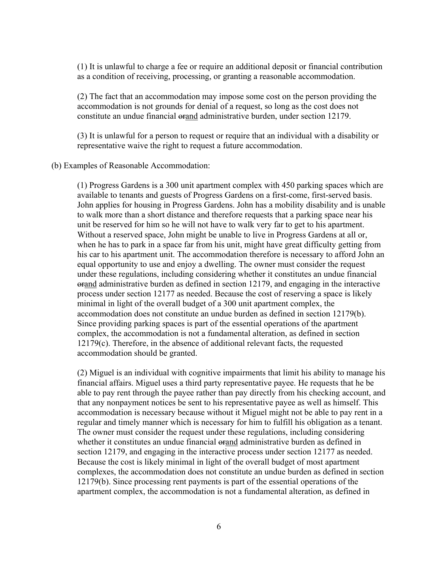(1) It is unlawful to charge a fee or require an additional deposit or financial contribution as a condition of receiving, processing, or granting a reasonable accommodation.

(2) The fact that an accommodation may impose some cost on the person providing the accommodation is not grounds for denial of a request, so long as the cost does not constitute an undue financial orand administrative burden, under section 12179.

(3) It is unlawful for a person to request or require that an individual with a disability or representative waive the right to request a future accommodation.

(b) Examples of Reasonable Accommodation:

(1) Progress Gardens is a 300 unit apartment complex with 450 parking spaces which are available to tenants and guests of Progress Gardens on a first-come, first-served basis. John applies for housing in Progress Gardens. John has a mobility disability and is unable to walk more than a short distance and therefore requests that a parking space near his unit be reserved for him so he will not have to walk very far to get to his apartment. Without a reserved space, John might be unable to live in Progress Gardens at all or, when he has to park in a space far from his unit, might have great difficulty getting from his car to his apartment unit. The accommodation therefore is necessary to afford John an equal opportunity to use and enjoy a dwelling. The owner must consider the request under these regulations, including considering whether it constitutes an undue financial orand administrative burden as defined in section 12179, and engaging in the interactive process under section 12177 as needed. Because the cost of reserving a space is likely minimal in light of the overall budget of a 300 unit apartment complex, the accommodation does not constitute an undue burden as defined in section 12179(b). Since providing parking spaces is part of the essential operations of the apartment complex, the accommodation is not a fundamental alteration, as defined in section 12179(c). Therefore, in the absence of additional relevant facts, the requested accommodation should be granted.

(2) Miguel is an individual with cognitive impairments that limit his ability to manage his financial affairs. Miguel uses a third party representative payee. He requests that he be able to pay rent through the payee rather than pay directly from his checking account, and that any nonpayment notices be sent to his representative payee as well as himself. This accommodation is necessary because without it Miguel might not be able to pay rent in a regular and timely manner which is necessary for him to fulfill his obligation as a tenant. The owner must consider the request under these regulations, including considering whether it constitutes an undue financial orand administrative burden as defined in section 12179, and engaging in the interactive process under section 12177 as needed. Because the cost is likely minimal in light of the overall budget of most apartment complexes, the accommodation does not constitute an undue burden as defined in section 12179(b). Since processing rent payments is part of the essential operations of the apartment complex, the accommodation is not a fundamental alteration, as defined in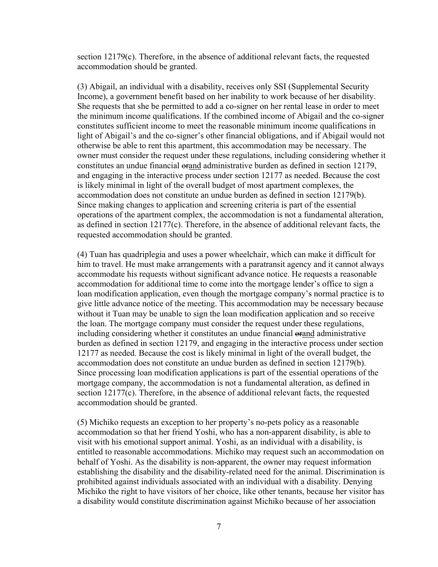section 12179(c). Therefore, in the absence of additional relevant facts, the requested accommodation should be granted.

(3) Abigail, an individual with a disability, receives only SSI (Supplemental Security Income), a government benefit based on her inability to work because of her disability. She requests that she be permitted to add a co-signer on her rental lease in order to meet the minimum income qualifications. If the combined income of Abigail and the co-signer constitutes sufficient income to meet the reasonable minimum income qualifications in light of Abigail's and the co-signer's other financial obligations, and if Abigail would not otherwise be able to rent this apartment, this accommodation may be necessary. The owner must consider the request under these regulations, including considering whether it constitutes an undue financial orand administrative burden as defined in section 12179, and engaging in the interactive process under section 12177 as needed. Because the cost is likely minimal in light of the overall budget of most apartment complexes, the accommodation does not constitute an undue burden as defined in section 12179(b). Since making changes to application and screening criteria is part of the essential operations of the apartment complex, the accommodation is not a fundamental alteration, as defined in section 12177(c). Therefore, in the absence of additional relevant facts, the requested accommodation should be granted.

(4) Tuan has quadriplegia and uses a power wheelchair, which can make it difficult for him to travel. He must make arrangements with a paratransit agency and it cannot always accommodate his requests without significant advance notice. He requests a reasonable accommodation for additional time to come into the mortgage lender's office to sign a loan modification application, even though the mortgage company's normal practice is to give little advance notice of the meeting. This accommodation may be necessary because without it Tuan may be unable to sign the loan modification application and so receive the loan. The mortgage company must consider the request under these regulations, including considering whether it constitutes an undue financial orand administrative burden as defined in section 12179, and engaging in the interactive process under section 12177 as needed. Because the cost is likely minimal in light of the overall budget, the accommodation does not constitute an undue burden as defined in section 12179(b). Since processing loan modification applications is part of the essential operations of the mortgage company, the accommodation is not a fundamental alteration, as defined in section 12177(c). Therefore, in the absence of additional relevant facts, the requested accommodation should be granted.

(5) Michiko requests an exception to her property's no-pets policy as a reasonable accommodation so that her friend Yoshi, who has a non-apparent disability, is able to visit with his emotional support animal. Yoshi, as an individual with a disability, is entitled to reasonable accommodations. Michiko may request such an accommodation on behalf of Yoshi. As the disability is non-apparent, the owner may request information establishing the disability and the disability-related need for the animal. Discrimination is prohibited against individuals associated with an individual with a disability. Denying Michiko the right to have visitors of her choice, like other tenants, because her visitor has a disability would constitute discrimination against Michiko because of her association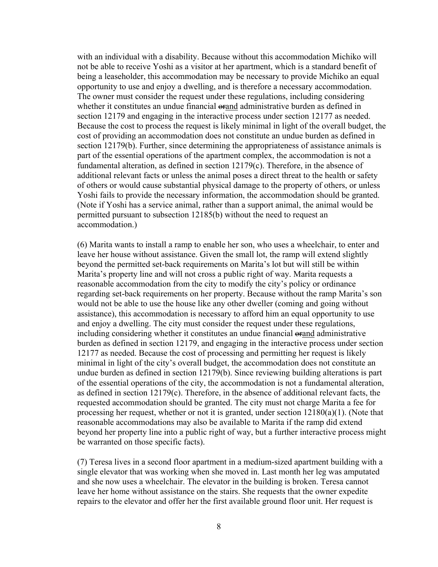with an individual with a disability. Because without this accommodation Michiko will not be able to receive Yoshi as a visitor at her apartment, which is a standard benefit of being a leaseholder, this accommodation may be necessary to provide Michiko an equal opportunity to use and enjoy a dwelling, and is therefore a necessary accommodation. The owner must consider the request under these regulations, including considering whether it constitutes an undue financial orand administrative burden as defined in section 12179 and engaging in the interactive process under section 12177 as needed. Because the cost to process the request is likely minimal in light of the overall budget, the cost of providing an accommodation does not constitute an undue burden as defined in section 12179(b). Further, since determining the appropriateness of assistance animals is part of the essential operations of the apartment complex, the accommodation is not a fundamental alteration, as defined in section 12179(c). Therefore, in the absence of additional relevant facts or unless the animal poses a direct threat to the health or safety of others or would cause substantial physical damage to the property of others, or unless Yoshi fails to provide the necessary information, the accommodation should be granted. (Note if Yoshi has a service animal, rather than a support animal, the animal would be permitted pursuant to subsection 12185(b) without the need to request an accommodation.)

(6) Marita wants to install a ramp to enable her son, who uses a wheelchair, to enter and leave her house without assistance. Given the small lot, the ramp will extend slightly beyond the permitted set-back requirements on Marita's lot but will still be within Marita's property line and will not cross a public right of way. Marita requests a reasonable accommodation from the city to modify the city's policy or ordinance regarding set-back requirements on her property. Because without the ramp Marita's son would not be able to use the house like any other dweller (coming and going without assistance), this accommodation is necessary to afford him an equal opportunity to use and enjoy a dwelling. The city must consider the request under these regulations, including considering whether it constitutes an undue financial orand administrative burden as defined in section 12179, and engaging in the interactive process under section 12177 as needed. Because the cost of processing and permitting her request is likely minimal in light of the city's overall budget, the accommodation does not constitute an undue burden as defined in section 12179(b). Since reviewing building alterations is part of the essential operations of the city, the accommodation is not a fundamental alteration, as defined in section 12179(c). Therefore, in the absence of additional relevant facts, the requested accommodation should be granted. The city must not charge Marita a fee for processing her request, whether or not it is granted, under section  $12180(a)(1)$ . (Note that reasonable accommodations may also be available to Marita if the ramp did extend beyond her property line into a public right of way, but a further interactive process might be warranted on those specific facts).

(7) Teresa lives in a second floor apartment in a medium-sized apartment building with a single elevator that was working when she moved in. Last month her leg was amputated and she now uses a wheelchair. The elevator in the building is broken. Teresa cannot leave her home without assistance on the stairs. She requests that the owner expedite repairs to the elevator and offer her the first available ground floor unit. Her request is